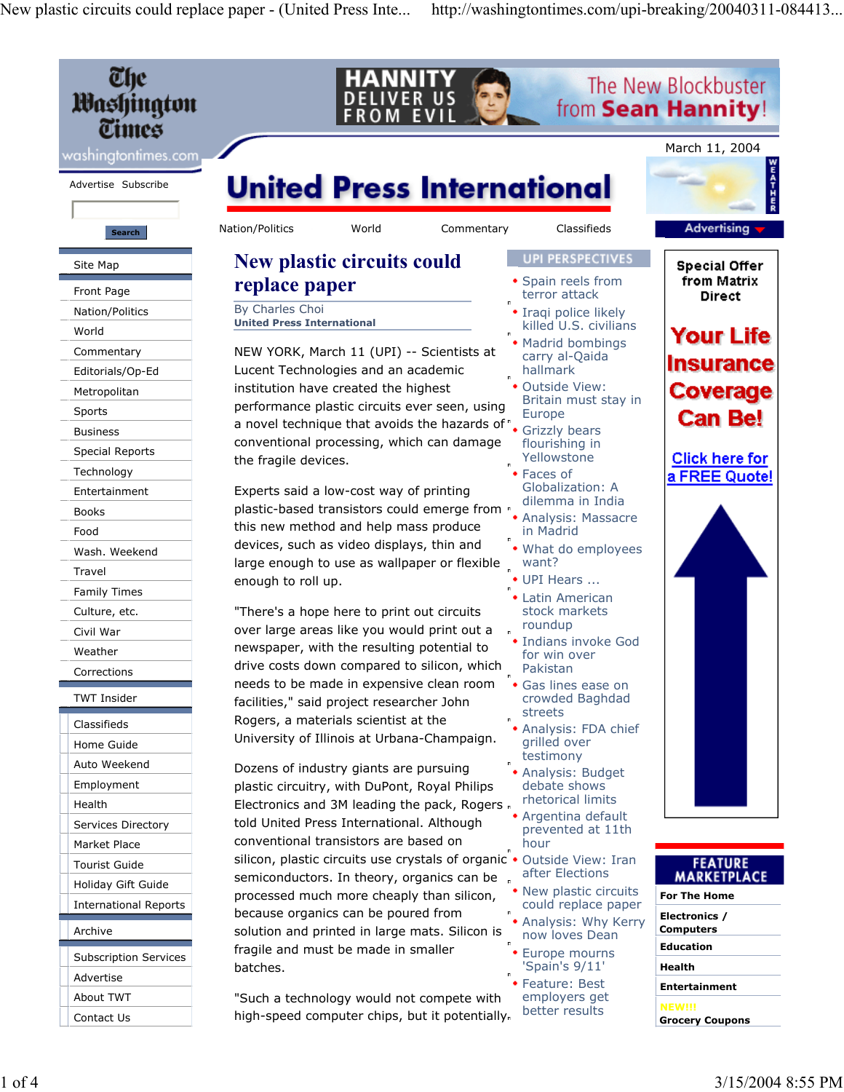New plastic circuits could replace paper - (United Press Inte... http://washingtontimes.com/upi-breaking/20040311-084413...

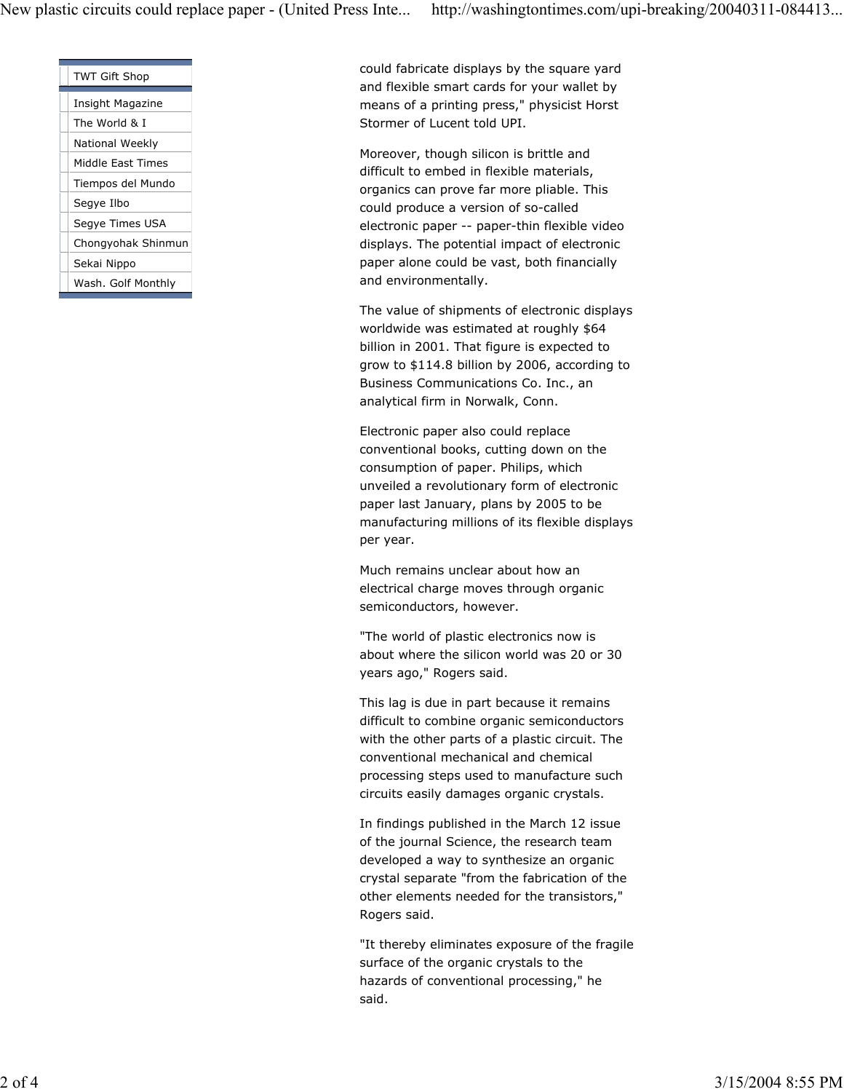| <b>TWT Gift Shop</b> |
|----------------------|
|                      |
| Insight Magazine     |
| The World & I        |
| National Weekly      |
| Middle East Times    |
| Tiempos del Mundo    |
| Segye Ilbo           |
| Segye Times USA      |
| Chongyohak Shinmun   |
| Sekai Nippo          |
| Wash. Golf Monthly   |
|                      |

could fabricate displays by the square yard and flexible smart cards for your wallet by means of a printing press," physicist Horst Stormer of Lucent told UPI.

Moreover, though silicon is brittle and difficult to embed in flexible materials, organics can prove far more pliable. This could produce a version of so-called electronic paper -- paper-thin flexible video displays. The potential impact of electronic paper alone could be vast, both financially and environmentally.

The value of shipments of electronic displays worldwide was estimated at roughly \$64 billion in 2001. That figure is expected to grow to \$114.8 billion by 2006, according to Business Communications Co. Inc., an analytical firm in Norwalk, Conn.

Electronic paper also could replace conventional books, cutting down on the consumption of paper. Philips, which unveiled a revolutionary form of electronic paper last January, plans by 2005 to be manufacturing millions of its flexible displays per year.

Much remains unclear about how an electrical charge moves through organic semiconductors, however.

"The world of plastic electronics now is about where the silicon world was 20 or 30 years ago," Rogers said.

This lag is due in part because it remains difficult to combine organic semiconductors with the other parts of a plastic circuit. The conventional mechanical and chemical processing steps used to manufacture such circuits easily damages organic crystals.

In findings published in the March 12 issue of the journal Science, the research team developed a way to synthesize an organic crystal separate "from the fabrication of the other elements needed for the transistors," Rogers said.

"It thereby eliminates exposure of the fragile surface of the organic crystals to the hazards of conventional processing," he said.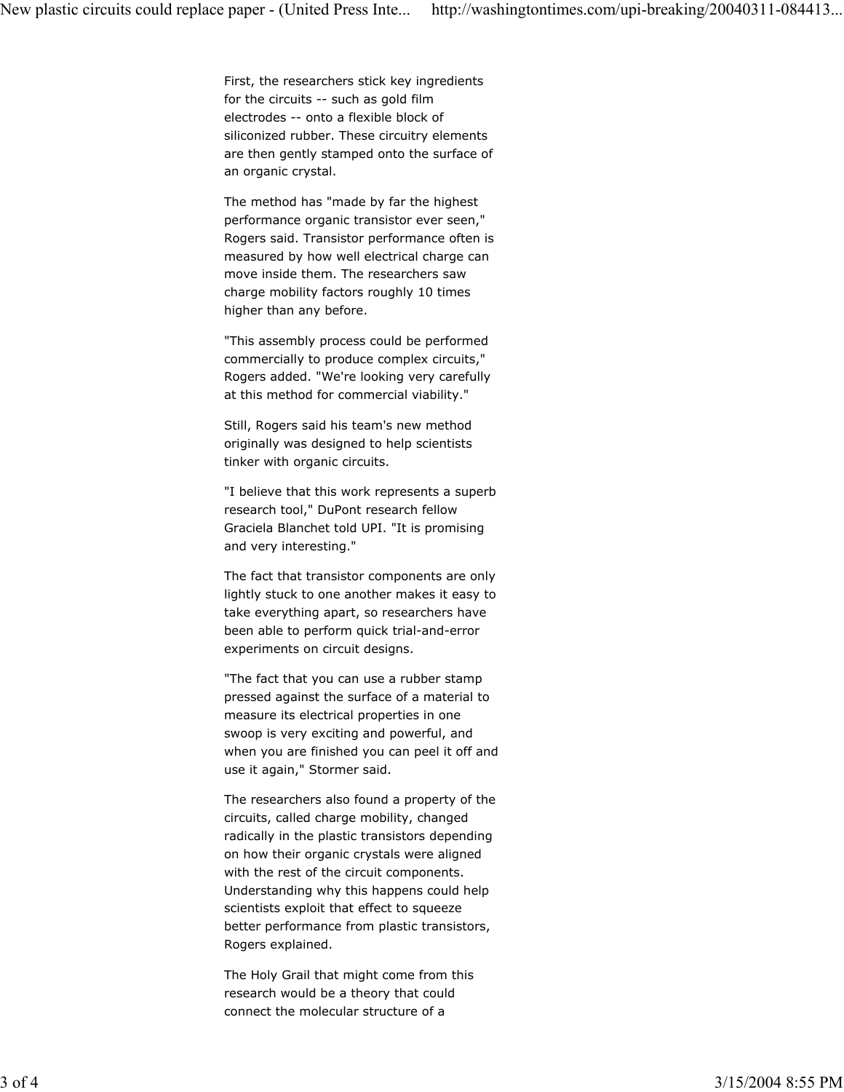First, the researchers stick key ingredients for the circuits -- such as gold film electrodes -- onto a flexible block of siliconized rubber. These circuitry elements are then gently stamped onto the surface of an organic crystal.

The method has "made by far the highest performance organic transistor ever seen," Rogers said. Transistor performance often is measured by how well electrical charge can move inside them. The researchers saw charge mobility factors roughly 10 times higher than any before.

"This assembly process could be performed commercially to produce complex circuits," Rogers added. "We're looking very carefully at this method for commercial viability."

Still, Rogers said his team's new method originally was designed to help scientists tinker with organic circuits.

"I believe that this work represents a superb research tool," DuPont research fellow Graciela Blanchet told UPI. "It is promising and very interesting."

The fact that transistor components are only lightly stuck to one another makes it easy to take everything apart, so researchers have been able to perform quick trial-and-error experiments on circuit designs.

"The fact that you can use a rubber stamp pressed against the surface of a material to measure its electrical properties in one swoop is very exciting and powerful, and when you are finished you can peel it off and use it again," Stormer said.

The researchers also found a property of the circuits, called charge mobility, changed radically in the plastic transistors depending on how their organic crystals were aligned with the rest of the circuit components. Understanding why this happens could help scientists exploit that effect to squeeze better performance from plastic transistors, Rogers explained.

The Holy Grail that might come from this research would be a theory that could connect the molecular structure of a